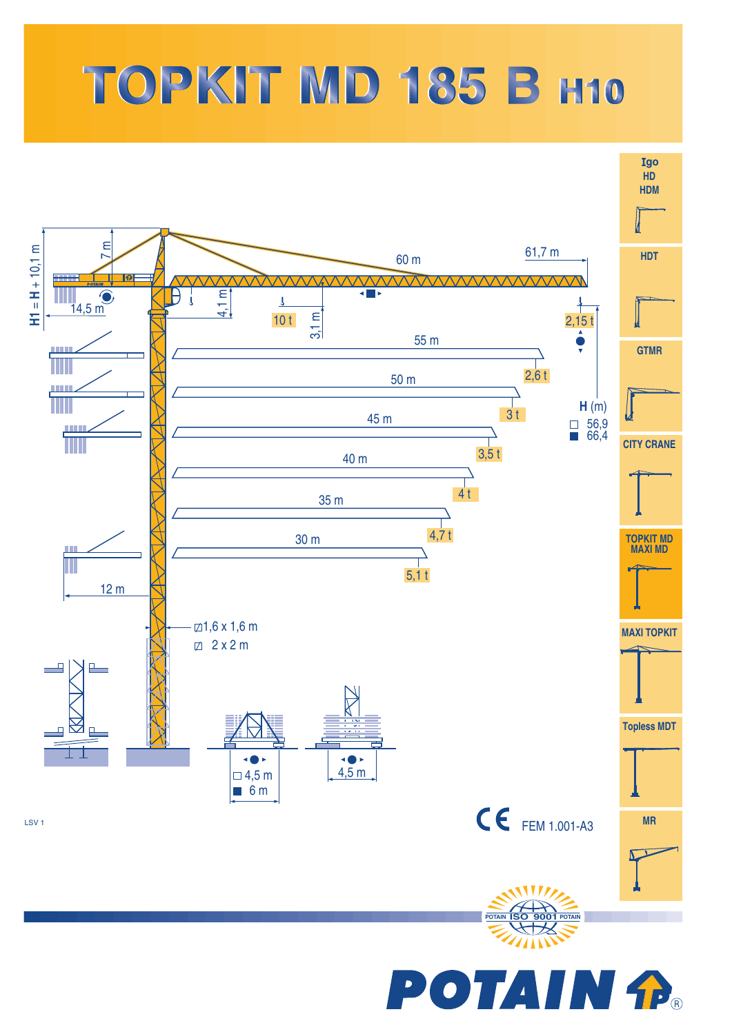## TOPKIT MD 185 B H10

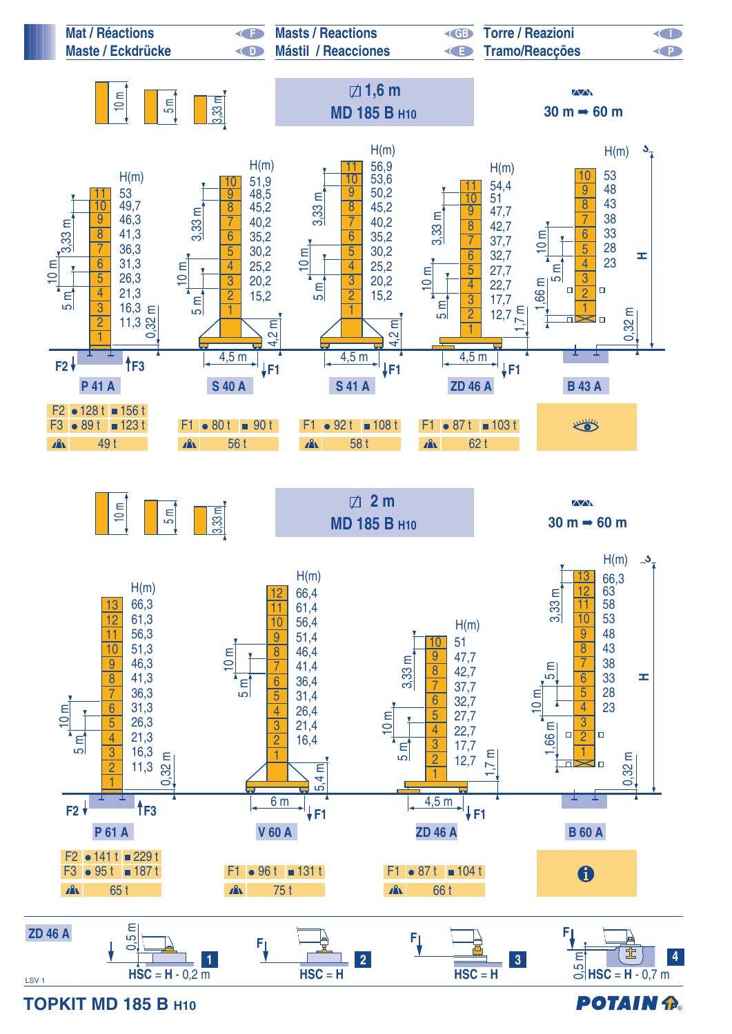

**TOPKIT MD 185 B H10**

**POTAIN P.**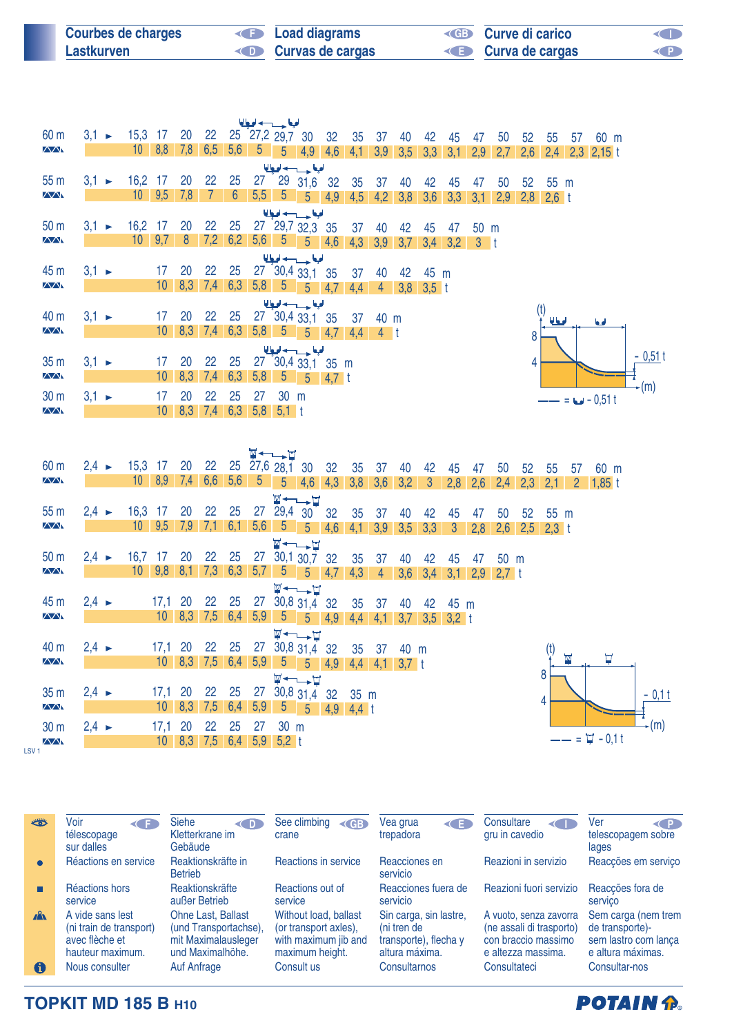| <b>Courbes de charges</b> | <b>Example 2</b> Load diagrams | <b>ED</b> Curve di carico | <b>KID</b> |
|---------------------------|--------------------------------|---------------------------|------------|
| Lastkurven                | <b>Curvas de cargas</b>        | <b>E</b> Curva de cargas  | <b>KPI</b> |

|                               |                   |                              |                 |                   |                          |                 |           | للعاجس لمجا            |                                   |            |           |                |                         |                |                   |                |                     |                     |                |    |                |          |  |
|-------------------------------|-------------------|------------------------------|-----------------|-------------------|--------------------------|-----------------|-----------|------------------------|-----------------------------------|------------|-----------|----------------|-------------------------|----------------|-------------------|----------------|---------------------|---------------------|----------------|----|----------------|----------|--|
| 60 m                          | $3.1 \rightarrow$ | $15,3$ 17                    |                 | 20                | 22                       |                 |           | 25 27,2 29,7 30        |                                   | 32         | 35        | 37             | 40                      | 42             | 45                | 47             | 50                  | 52                  | 55             | 57 | 60 m           |          |  |
| $\sqrt{N}$                    |                   | 10                           | 8,8             | 7,8               | 6,5                      | 5,6             | $-5$      | $5\overline{)}$        | 4,9                               | 4,6        |           |                | $4,1$ 3,9 3,5           |                | $3,3$ $3,1$ $2,9$ |                | 2,7                 | 2,6                 | 2,4            |    | $2,3$ 2,15 t   |          |  |
| 55 m                          | $3,1 -$           | 16,2 17                      |                 | 20                | 22                       | 25              | 27        |                        | الملحا حسيب أدينا<br>29 31,6 32   |            | 35        | 37             | 40                      | 42             | 45                | 47             | 50                  | 52                  | 55 m           |    |                |          |  |
| $\sqrt{N}$                    |                   | 10 <sup>1</sup>              | 9,5             | 7,8               | 7 <sup>1</sup>           | $6\overline{6}$ |           |                        | $5,5$ $5$ $5$ $4,9$               |            | 4,5       | 4,2            | 3,8                     | 3,6            | 3,3               | 3,1            | $2,9$ 2,8 2,6 t     |                     |                |    |                |          |  |
|                               |                   |                              |                 |                   |                          |                 |           |                        | الملوا وسيدانها                   |            |           |                |                         |                |                   |                |                     |                     |                |    |                |          |  |
| 50 <sub>m</sub><br>$\sqrt{N}$ | $3.1 \rightarrow$ | 16,2 17<br>$10 \t 9.7$       |                 | 20<br>8           | 22<br>7,2                | 25              |           |                        | 27 29,7 32,3 35                   |            | 37        | 40             | 42                      | 45             | 47                | 50 m           |                     |                     |                |    |                |          |  |
|                               |                   |                              |                 |                   |                          | 6,2             |           |                        | $5,6$ 5 5 4,6<br>الملحا حسيدها    |            | 4,3       | 3,9            | 3,7                     |                | $3,4$ $3,2$       | 3 <sub>1</sub> |                     |                     |                |    |                |          |  |
| 45 m                          | $3,1 -$           |                              | 17              | 20                | 22                       | 25              |           |                        | 27 30,4 33,1 35                   |            | 37        | 40             | 42                      | 45 m           |                   |                |                     |                     |                |    |                |          |  |
| $\sqrt{N}$                    |                   |                              | 10              |                   | $8,3$ 7,4 6,3            |                 |           | $5,8$ 5                |                                   | $5 \, 4.7$ | 4,4       | 4 <sup>1</sup> | 3,8                     | $3,5$ t        |                   |                |                     |                     |                |    |                |          |  |
|                               |                   |                              |                 |                   |                          |                 |           |                        | الملحة وسيدانها                   |            |           |                |                         |                |                   |                |                     |                     | (t)            |    |                |          |  |
| 40 m<br>$\sqrt{N}$            | $3,1 -$           |                              | 17<br>10        | 20                | 22<br>$8,3$ 7,4          | 25<br>6,3       | $5,8$ 5   |                        | 27 30,4 33,1 35<br>5 <sup>1</sup> |            | 37        | 40 m           |                         |                |                   |                |                     |                     | أهجأها         |    | <b>W</b>       |          |  |
|                               |                   |                              |                 |                   |                          |                 |           |                        | الملحط حسب لحيا                   | 4,7        | 4,4       | $4-1$          |                         |                |                   |                |                     | 8                   |                |    |                |          |  |
| 35 <sub>m</sub>               | $3,1 -$           |                              | 17              | 20                | 22                       | 25              |           |                        | 27 30,4 33,1 35 m                 |            |           |                |                         |                |                   |                |                     | 4                   |                |    |                | $-0,51t$ |  |
| $\sqrt{N}$                    |                   |                              | 10              | 8,3               | 7,4                      | 6,3             | 5,8       | $5 \mid 5$             |                                   | $4,7$ t    |           |                |                         |                |                   |                |                     |                     |                |    |                | $-(m)$   |  |
| 30 <sub>m</sub>               | $3,1 \rightarrow$ |                              | 17              | 20                | 22                       | 25              | 27        | 30 m                   |                                   |            |           |                |                         |                |                   |                |                     |                     |                |    | $= 6 - 0.51 t$ |          |  |
| $\sqrt{N}$                    |                   |                              |                 |                   | 10 8,3 7,4 6,3 5,8 5,1 t |                 |           |                        |                                   |            |           |                |                         |                |                   |                |                     |                     |                |    |                |          |  |
|                               |                   |                              |                 |                   |                          |                 |           |                        |                                   |            |           |                |                         |                |                   |                |                     |                     |                |    |                |          |  |
|                               |                   |                              |                 |                   |                          |                 |           | <b>W←←F</b>            |                                   |            |           |                |                         |                |                   |                |                     |                     |                |    |                |          |  |
| 60 m<br>$\sqrt{N}$            | $2,4 \rightarrow$ | 15,3 17<br>10 <sup>°</sup>   |                 | 20                | 22<br>8,9 7,4 6,6        |                 |           | 25 27,6 28,1 30        |                                   | 32         | 35        | 37             | 40                      | 42             | 45                | 47             | 50                  | 52                  | 55             | 57 | 60 m           |          |  |
|                               |                   |                              |                 |                   |                          |                 |           |                        | $5,6$ 5 5 4,6 4,3                 |            | 3,8       | 3,6            | 3,2                     | $\overline{3}$ | 2,8               | 2,6            | 2,4                 | 2,3                 | 2,1            |    | $2 \t1.85 t$   |          |  |
| 55 m                          | $2,4 \rightarrow$ | 16,3 17                      |                 | 20                | 22                       | 25              |           | $27\quad 29,4\quad 30$ | <b>W←←→⊔</b>                      | 32         | 35        | 37             | 40                      | 42             | 45                | 47             | 50                  | 52                  | 55 m           |    |                |          |  |
| $\sqrt{N}$                    |                   |                              | $10 \t 9.5$     | 7,9               | 7,1                      | 6,1             | 5,6       | $-5$                   |                                   | $5 \t 4,6$ | 4,1       | 3,9            | 3,5                     | 3,3            | $\mathbf{3}$      | 2,8            |                     | $2,6$ $2,5$ $2,3$ t |                |    |                |          |  |
|                               |                   |                              |                 |                   |                          |                 |           |                        | <b>W←→⊔</b>                       |            |           |                |                         |                |                   |                |                     |                     |                |    |                |          |  |
| 50 <sub>m</sub><br>$\sqrt{N}$ | $2,4 \rightarrow$ | $16,7$ 17<br>10 <sup>°</sup> | 9,8             | 20<br>8,1         | 22<br>7,3                | 25<br>6,3       | 5,7       | 5 <sub>1</sub>         | 27 30,1 30,7 32<br>$5 \t 4.7$     |            | 35<br>4,3 | 37             | 40<br>3,6               | 42             | 45                | 47             | 50 m                |                     |                |    |                |          |  |
|                               |                   |                              |                 |                   |                          |                 |           |                        | <b>W←←→D</b>                      |            |           | 4 <sup>1</sup> |                         |                |                   |                | $3,4$ 3,1 2,9 2,7 t |                     |                |    |                |          |  |
| 45 m                          | $2,4 \rightarrow$ |                              | $17,1$ 20       |                   | 22                       | 25              | 27        |                        | 30,8 31,4 32                      |            | 35        | 37             | 40                      | 42             | 45 m              |                |                     |                     |                |    |                |          |  |
| $\sqrt{N}$                    |                   |                              | 10 <sup>°</sup> | 8,3               | 7,5                      | 6,4             | 5,9       |                        | $5 \t 5 \t 4,9$                   |            | 4,4       |                | 4,1 3,7 3,5 3,2 t       |                |                   |                |                     |                     |                |    |                |          |  |
|                               |                   |                              |                 |                   |                          |                 |           |                        | <b>W←→D</b>                       |            |           |                |                         |                |                   |                |                     |                     |                |    |                |          |  |
| 40 m<br>$\sqrt{N}$            | $2,4 \rightarrow$ |                              | 17,1            | 20<br>$10 \t 8,3$ | 22<br>7,5                | 25<br>6,4       | 27<br>5,9 | $-5$                   | 30,8 31,4 32<br>$5 \t 4.9$        |            | 35        | - 37           | 40 m<br>$4,4$ 4,1 3,7 t |                |                   |                |                     |                     | (t)            | M  | $\overline{u}$ |          |  |
|                               |                   |                              |                 |                   |                          |                 |           |                        | <b>W←←→D</b>                      |            |           |                |                         |                |                   |                |                     |                     | 8              |    |                |          |  |
| 35 m                          | $2,4 \rightarrow$ |                              | $17,1$ 20       |                   | 22                       | 25              |           |                        | 27 30,8 31,4 32                   |            | 35 m      |                |                         |                |                   |                |                     |                     | $\overline{A}$ |    |                | $-0,1$   |  |



**Siehe** See climbing Vea grua **Consultare** Ver Voir **F** Siehe **F** Siehe **F See climbing GB** Vea grua **F** Consultare **F** Ver **F** ₩ télescopage Kletterkrane im crane trepadora gru in cavedio telescopagem sobre sur dalles Gebäude lages Réactions en service Reaktionskräfte in Reactions in service Reacciones en Reazioni in servizio Reacções em serviço Ċ Betrieb servicio Réactions hors Reaktionskräfte Reactions out of Reacciones fuera de Reazioni fuori servizio Reacções fora de г außer Betrieb service service servicio serviço A A vide sans lest Ohne Last, Ballast Without load, ballast Sin carga, sin lastre, A vuoto, senza zavorra Sem carga (nem trem (ni train de transport) (und Transportachse), (or transport axles), (ne assali di trasporto) de transporte)- (ni tren de transporte), flecha y avec flèche et mit Maximalausleger with maximum jib and con braccio massimo sem lastro com lança hauteur maximum. und Maximalhöhe. maximum height. altura máxima. e altezza massima. e altura máximas. A Nous consulter Auf Anfrage **Consultateci** Consultar-nosConsult us **Consultarnos** 

 $10 \mid 8,3 \mid 7,5 \mid 6,4 \mid 5,9 \mid 5 \mid 5 \mid 4,9 \mid 4,4 \mid t$ 

30 m

10 8,3 7,5 6,4 5,9 5,2 t

30 m = 2,4 ► 17,1 = 20 = 22 = 25 = 27 = 30 m

 $2.4 \rightarrow 17.1 \quad 20 \quad 22 \quad 25 \quad 27$ 

8,3 20

**TOPKIT MD 185 B H10**

LSV 1

 $\sqrt{N}$ 

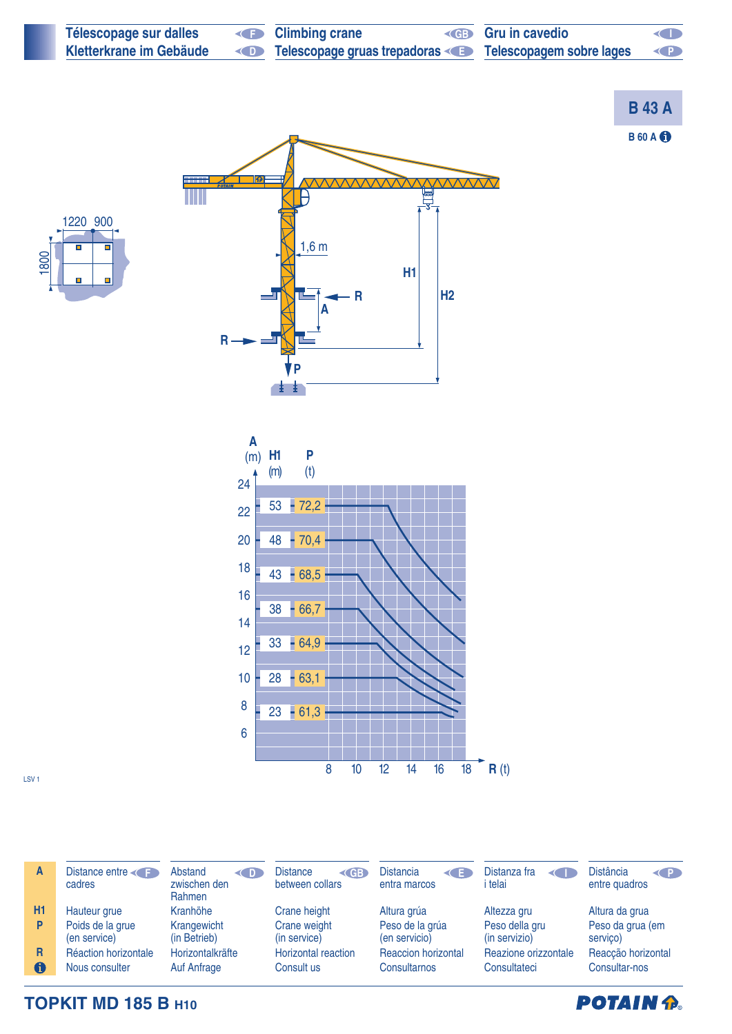| Télescopage sur dalles  | <b>Climbing crane</b>                                 | <b>ED</b> Gru in cavedio | <b>KID</b>                           |
|-------------------------|-------------------------------------------------------|--------------------------|--------------------------------------|
| Kletterkrane im Gebäude | Telescopage gruas trepadoras Telescopagem sobre lages |                          | $\langle \langle \mathsf{P} \rangle$ |







| $\mathbf{A}$ | Distance entre<br>cadres | Abstand<br>$\langle$ D<br>zwischen den<br>Rahmen | <b>Distance</b><br>$\triangleleft$ GB<br>between collars | <b>Distancia</b><br>$\sim$ $=$<br>entra marcos | Distanza fra<br>$\leftarrow$<br>i telai | <b>Distância</b><br>$\left\langle \right\rangle$<br>entre quadros |
|--------------|--------------------------|--------------------------------------------------|----------------------------------------------------------|------------------------------------------------|-----------------------------------------|-------------------------------------------------------------------|
| H1           | Hauteur grue             | Kranhöhe                                         | Crane height                                             | Altura grúa                                    | Altezza gru                             | Altura da grua                                                    |
| P            | Poids de la grue         | Krangewicht                                      | Crane weight                                             | Peso de la grúa                                | Peso della gru                          | Peso da grua (em                                                  |
|              | (en service)             | (in Betrieb)                                     | (in service)                                             | (en servicio)                                  | (in servizio)                           | servico)                                                          |
| R            | Réaction horizontale     | Horizontalkräfte                                 | <b>Horizontal reaction</b>                               | <b>Reaccion horizontal</b>                     | Reazione orizzontale                    | Reacção horizontal                                                |
| 0            | Nous consulter           | <b>Auf Anfrage</b>                               | Consult us                                               | Consultarnos                                   | Consultateci                            | Consultar-nos                                                     |

**TOPKIT MD 185 B H10**

| <b>POTAIN P.</b> |  |
|------------------|--|
|------------------|--|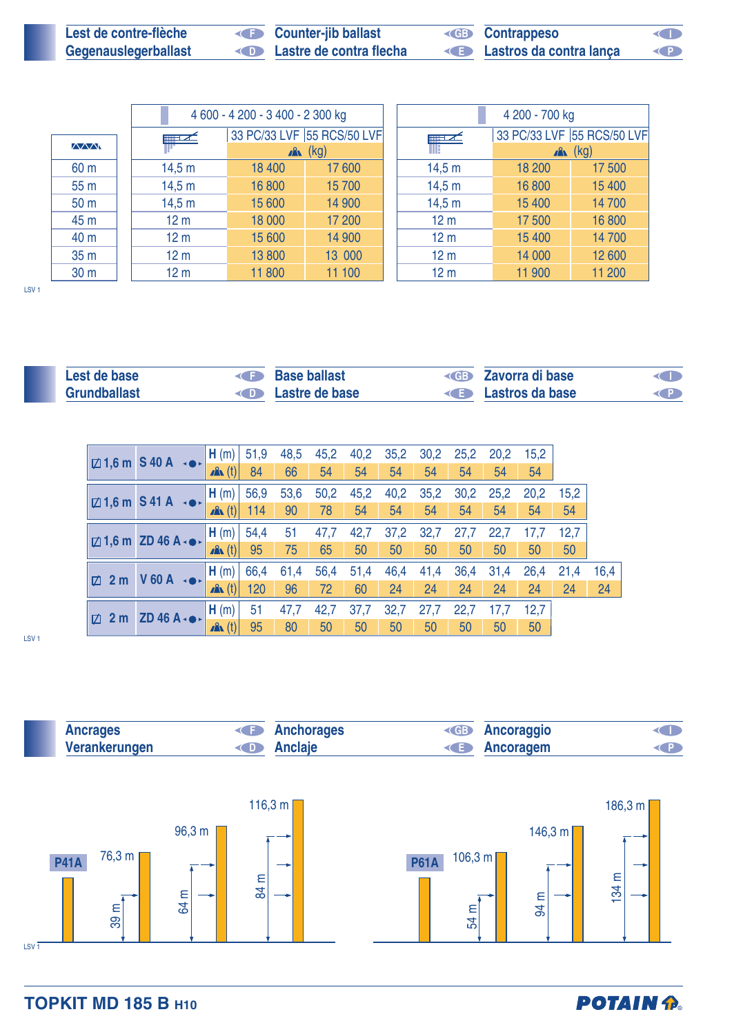| Lest de contre-flèche | <b>Counter-jib ballast</b>                | <b>ED</b> Contrappeso    | ◀               |
|-----------------------|-------------------------------------------|--------------------------|-----------------|
| Gegenauslegerballast  | <b>Example 20 Lastre de contra flecha</b> | Electros da contra lança | $\triangleleft$ |

|                 |                   | 4 600 - 4 200 - 3 400 - 2 300 kg |                            |                 | 4 200 - 700 kg |                            |  |  |  |
|-----------------|-------------------|----------------------------------|----------------------------|-----------------|----------------|----------------------------|--|--|--|
|                 | $\equiv$ $\times$ |                                  | 33 PC/33 LVF 55 RCS/50 LVF | $\equiv$ $\sim$ |                | 33 PC/33 LVF 55 RCS/50 LVF |  |  |  |
| <b>MMM</b>      |                   | A                                | (kg)                       |                 |                | $x^2$ (kg)                 |  |  |  |
| 60 m            | 14,5 m            | 18 400                           | 17600                      | 14,5 m          | 18 200         | 17500                      |  |  |  |
| 55 <sub>m</sub> | 14,5 m            | 16 800                           | 15 700                     | 14,5 m          | 16 800         | 15 400                     |  |  |  |
| 50 <sub>m</sub> | 14,5 m            | 15 600                           | 14 900                     | 14,5 m          | 15 400         | 14700                      |  |  |  |
| 45 m            | 12 <sub>m</sub>   | 18 000                           | 17 200                     | 12 <sub>m</sub> | 17500          | 16 800                     |  |  |  |
| 40 m            | 12 <sub>m</sub>   | 15 600                           | 14 900                     | 12 <sub>m</sub> | 15 400         | 14 700                     |  |  |  |
| 35 m            | 12 <sub>m</sub>   | 13800                            | 13 000                     | 12 <sub>m</sub> | 14 000         | 12 600                     |  |  |  |
| 30 <sub>m</sub> | 12 <sub>m</sub>   | 11 800                           | 11 100                     | 12 <sub>m</sub> | 11 900         | 11 200                     |  |  |  |

LSV 1

| Lest de base        | <b>Base ballast</b>             | <b>Example 2</b> Zavorra di base | <b>CID</b> |
|---------------------|---------------------------------|----------------------------------|------------|
| <b>Grundballast</b> | <b>Example 2</b> Lastre de base | <b>Example 3</b> Lastros da base | $($ P $)$  |

|                      | $\boxtimes$ 1,6 m S 40 A $\rightarrow$ | , H (m)          | 51,9 | 48,5 | 45,2 | 40,2 | 35,2 | 30,2 | 25,2 | 20,2 | 15,2 |      |      |
|----------------------|----------------------------------------|------------------|------|------|------|------|------|------|------|------|------|------|------|
|                      |                                        | $\mathbf{A}$ (t) | 84   | 66   | 54   | 54   | 54   | 54   | 54   | 54   | 54   |      |      |
|                      | $\boxtimes$ 1,6 m S 41 A               | H(m)             | 56,9 | 53,6 | 50,2 | 45,2 | 40,2 | 35,2 | 30,2 | 25,2 | 20,2 | 15,2 |      |
|                      |                                        | $\mathbf{A}$ (t) | 114  | 90   | 78   | 54   | 54   | 54   | 54   | 54   | 54   | 54   |      |
|                      | $\boxtimes$ 1,6 m ZD 46 A $\cdot$      | H(m)             | 54,4 | 51   | 47,7 | 42,7 | 37,2 | 32,7 | 27,7 | 22,7 | 17,7 | 12,7 |      |
|                      |                                        | $x^2$ (t)        | 95   | 75   | 65   | 50   | 50   | 50   | 50   | 50   | 50   | 50   |      |
| 2 <sub>m</sub><br>Ø. | $V$ 60 A $\rightarrow$                 | H(m)             | 66,4 | 61,4 | 56,4 | 51,4 | 46,4 | 41,4 | 36,4 | 31,4 | 26,4 | 21,4 | 16,4 |
|                      |                                        | $\mathbf{A}$ (t) | 120  | 96   | 72   | 60   | 24   | 24   | 24   | 24   | 24   | 24   | 24   |
| <b>Z</b>             | $ZD$ 46 A $\cdot \bullet \cdot$        | H(m)             | 51   | 47,7 | 42,7 | 37,7 | 32,7 | 27,7 | 22,7 | 17,7 | 12,7 |      |      |
| 2 <sub>m</sub>       |                                        | $\mathbf{A}$ (t) | 95   | 80   | 50   | 50   | 50   | 50   | 50   | 50   | 50   |      |      |

LSV 1



**TOPKIT MD 185 B H10**